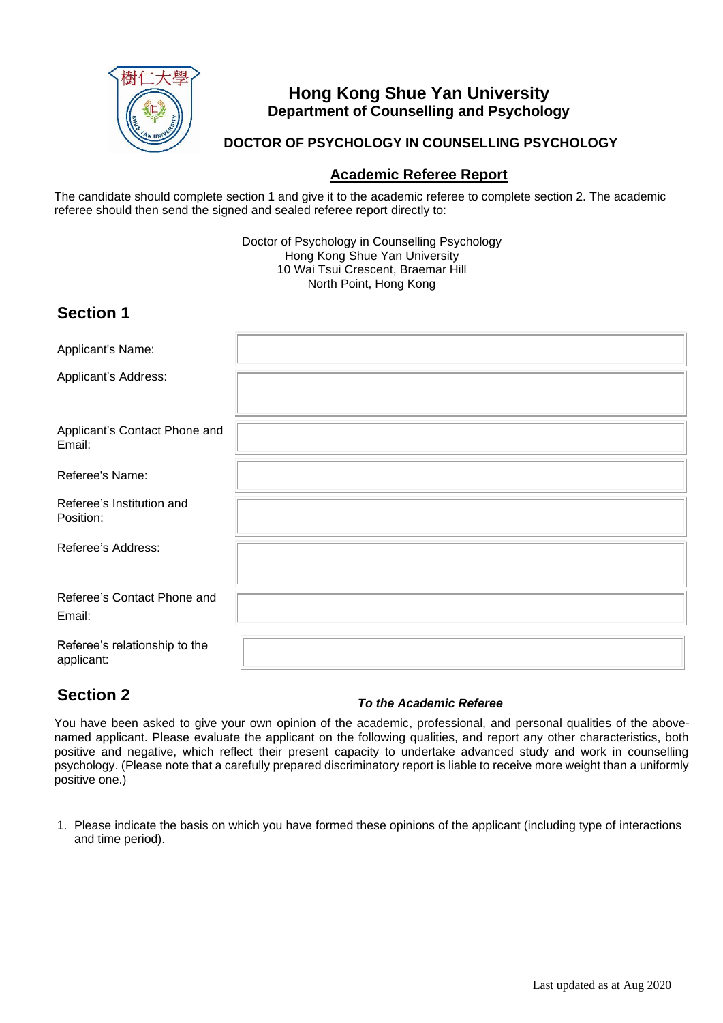

## **Hong Kong Shue Yan University Department of Counselling and Psychology**

### **DOCTOR OF PSYCHOLOGY IN COUNSELLING PSYCHOLOGY**

### **Academic Referee Report**

The candidate should complete section 1 and give it to the academic referee to complete section 2. The academic referee should then send the signed and sealed referee report directly to:

> Doctor of Psychology in Counselling Psychology Hong Kong Shue Yan University 10 Wai Tsui Crescent, Braemar Hill North Point, Hong Kong

## **Section 1**

| Applicant's Name:                           |  |
|---------------------------------------------|--|
| Applicant's Address:                        |  |
|                                             |  |
| Applicant's Contact Phone and<br>Email:     |  |
| Referee's Name:                             |  |
| Referee's Institution and<br>Position:      |  |
| Referee's Address:                          |  |
| Referee's Contact Phone and<br>Email:       |  |
| Referee's relationship to the<br>applicant: |  |

## **Section 2**

#### *To the Academic Referee*

You have been asked to give your own opinion of the academic, professional, and personal qualities of the abovenamed applicant. Please evaluate the applicant on the following qualities, and report any other characteristics, both positive and negative, which reflect their present capacity to undertake advanced study and work in counselling psychology. (Please note that a carefully prepared discriminatory report is liable to receive more weight than a uniformly positive one.)

1. Please indicate the basis on which you have formed these opinions of the applicant (including type of interactions and time period).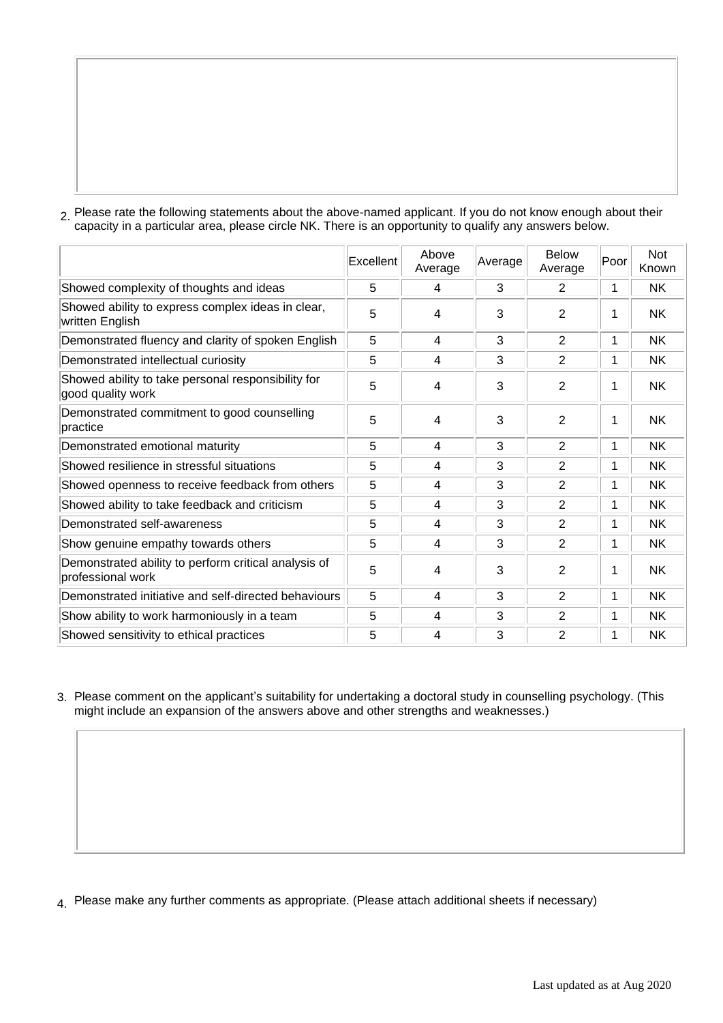2. Please rate the following statements about the above-named applicant. If you do not know enough about their capacity in a particular area, please circle NK. There is an opportunity to qualify any answers below.

|                                                                           | Excellent | Above<br>Average | Average | <b>Below</b><br>Average | Poor | <b>Not</b><br>Known |
|---------------------------------------------------------------------------|-----------|------------------|---------|-------------------------|------|---------------------|
| Showed complexity of thoughts and ideas                                   | 5         | 4                | 3       | 2                       |      | <b>NK</b>           |
| Showed ability to express complex ideas in clear,<br>written English      | 5         | 4                | 3       | $\overline{2}$          |      | <b>NK</b>           |
| Demonstrated fluency and clarity of spoken English                        | 5         | 4                | 3       | 2                       | 1    | <b>NK</b>           |
| Demonstrated intellectual curiosity                                       | 5         | 4                | 3       | $\overline{2}$          | 1    | <b>NK</b>           |
| Showed ability to take personal responsibility for<br>good quality work   | 5         | $\overline{4}$   | 3       | $\overline{2}$          |      | <b>NK</b>           |
| Demonstrated commitment to good counselling<br>practice                   | 5         | 4                | 3       | $\overline{2}$          |      | <b>NK</b>           |
| Demonstrated emotional maturity                                           | 5         | 4                | 3       | 2                       | 1    | NK.                 |
| Showed resilience in stressful situations                                 | 5         | 4                | 3       | $\overline{2}$          | 1    | <b>NK</b>           |
| Showed openness to receive feedback from others                           | 5         | 4                | 3       | $\overline{2}$          | 1    | <b>NK</b>           |
| Showed ability to take feedback and criticism                             | 5         | 4                | 3       | $\overline{2}$          | 1    | <b>NK</b>           |
| Demonstrated self-awareness                                               | 5         | 4                | 3       | $\overline{2}$          | 1    | <b>NK</b>           |
| Show genuine empathy towards others                                       | 5         | 4                | 3       | $\overline{2}$          | 1    | <b>NK</b>           |
| Demonstrated ability to perform critical analysis of<br>professional work | 5         | 4                | 3       | $\overline{2}$          |      | <b>NK</b>           |
| Demonstrated initiative and self-directed behaviours                      | 5         | 4                | 3       | $\overline{2}$          | 1    | <b>NK</b>           |
| Show ability to work harmoniously in a team                               | 5         | 4                | 3       | $\overline{2}$          | 1    | NK.                 |
| Showed sensitivity to ethical practices                                   | 5         | 4                | 3       | $\overline{2}$          | 1    | <b>NK</b>           |

3. Please comment on the applicant's suitability for undertaking a doctoral study in counselling psychology. (This might include an expansion of the answers above and other strengths and weaknesses.)

4. Please make any further comments as appropriate. (Please attach additional sheets if necessary)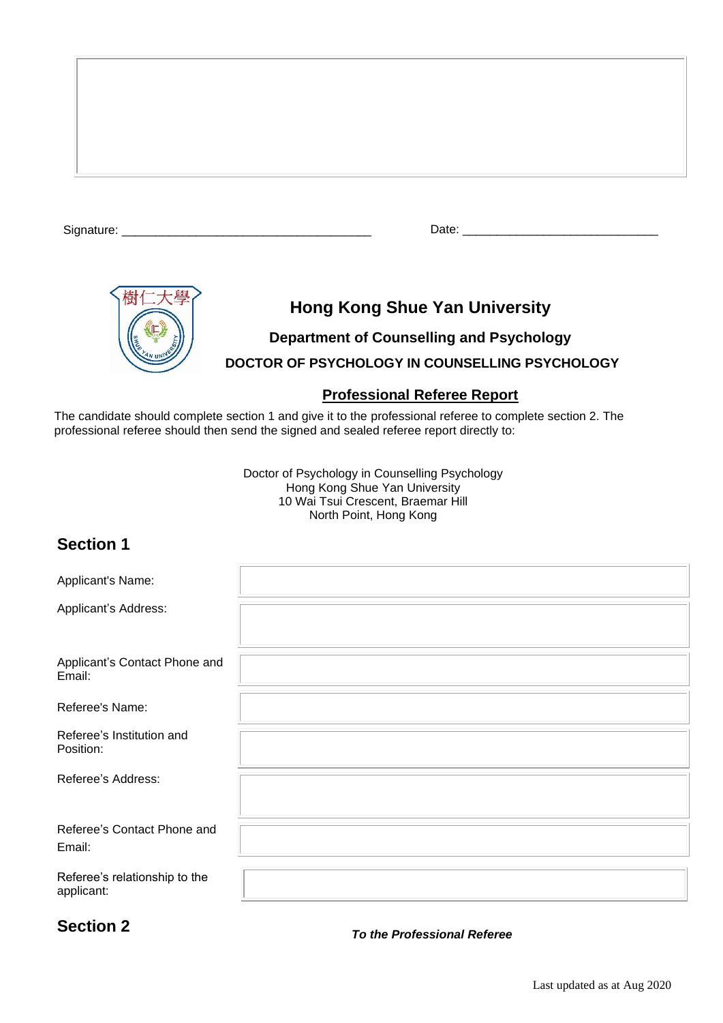Signature: \_\_\_\_\_\_\_\_\_\_\_\_\_\_\_\_\_\_\_\_\_\_\_\_\_\_\_\_\_\_\_\_\_\_\_\_\_ Date: \_\_\_\_\_\_\_\_\_\_\_\_\_\_\_\_\_\_\_\_\_\_\_\_\_\_\_\_\_



# **Hong Kong Shue Yan University**

**Department of Counselling and Psychology DOCTOR OF PSYCHOLOGY IN COUNSELLING PSYCHOLOGY**

### **Professional Referee Report**

The candidate should complete section 1 and give it to the professional referee to complete section 2. The professional referee should then send the signed and sealed referee report directly to:

> Doctor of Psychology in Counselling Psychology Hong Kong Shue Yan University 10 Wai Tsui Crescent, Braemar Hill North Point, Hong Kong

# **Section 1**

| Applicant's Name:                           |  |
|---------------------------------------------|--|
| Applicant's Address:                        |  |
| Applicant's Contact Phone and<br>Email:     |  |
| Referee's Name:                             |  |
| Referee's Institution and<br>Position:      |  |
| Referee's Address:                          |  |
| Referee's Contact Phone and<br>Email:       |  |
| Referee's relationship to the<br>applicant: |  |

# **Section 2**

*To the Professional Referee*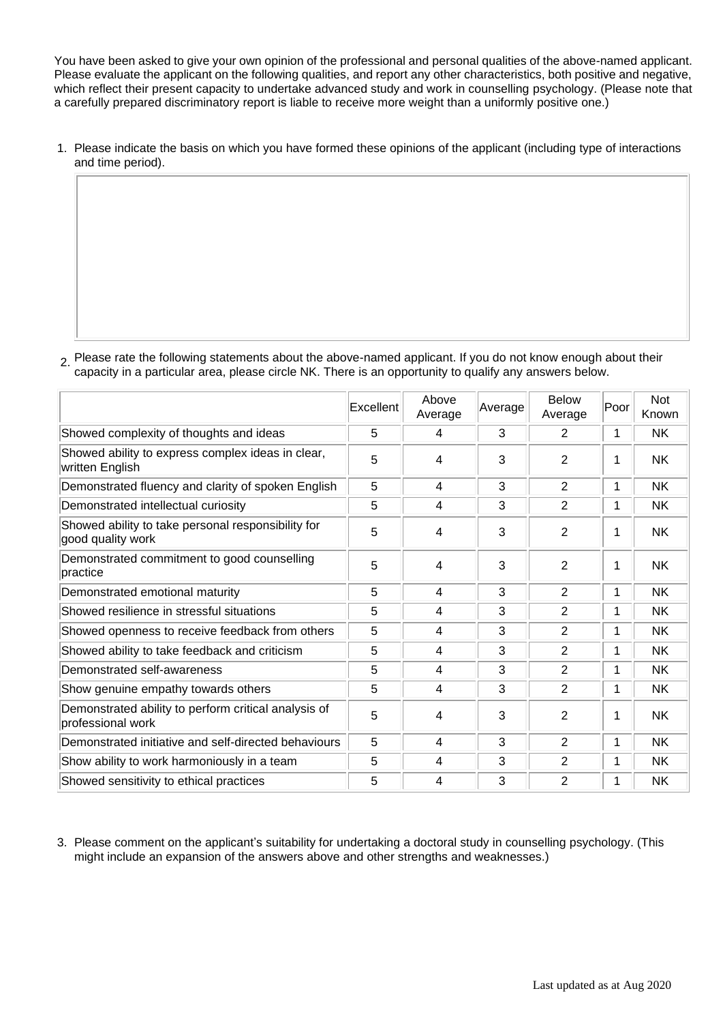You have been asked to give your own opinion of the professional and personal qualities of the above-named applicant. Please evaluate the applicant on the following qualities, and report any other characteristics, both positive and negative, which reflect their present capacity to undertake advanced study and work in counselling psychology. (Please note that a carefully prepared discriminatory report is liable to receive more weight than a uniformly positive one.)

1. Please indicate the basis on which you have formed these opinions of the applicant (including type of interactions and time period).

 $2$ . Please rate the following statements about the above-named applicant. If you do not know enough about their capacity in a particular area, please circle NK. There is an opportunity to qualify any answers below.

|                                                                           | Excellent | Above<br>Average | Average | <b>Below</b><br>Average | Poor | <b>Not</b><br>Known |
|---------------------------------------------------------------------------|-----------|------------------|---------|-------------------------|------|---------------------|
| Showed complexity of thoughts and ideas                                   | 5         | 4                | 3       | 2                       | 1    | <b>NK</b>           |
| Showed ability to express complex ideas in clear,<br>written English      | 5         | 4                | 3       | $\overline{2}$          | 1    | <b>NK</b>           |
| Demonstrated fluency and clarity of spoken English                        | 5         | 4                | 3       | $\overline{2}$          | 1    | <b>NK</b>           |
| Demonstrated intellectual curiosity                                       | 5         | 4                | 3       | $\overline{2}$          | 1    | <b>NK</b>           |
| Showed ability to take personal responsibility for<br>good quality work   | 5         | 4                | 3       | $\overline{2}$          | 1    | <b>NK</b>           |
| Demonstrated commitment to good counselling<br>practice                   | 5         | 4                | 3       | $\overline{2}$          | 1    | <b>NK</b>           |
| Demonstrated emotional maturity                                           | 5         | 4                | 3       | 2                       | 1    | <b>NK</b>           |
| Showed resilience in stressful situations                                 | 5         | 4                | 3       | $\overline{2}$          | 1    | <b>NK</b>           |
| Showed openness to receive feedback from others                           | 5         | 4                | 3       | $\overline{2}$          | 1    | <b>NK</b>           |
| Showed ability to take feedback and criticism                             | 5         | 4                | 3       | 2                       | 1    | <b>NK</b>           |
| Demonstrated self-awareness                                               | 5         | 4                | 3       | $\overline{2}$          | 1    | <b>NK</b>           |
| Show genuine empathy towards others                                       | 5         | 4                | 3       | $\overline{2}$          | 1    | <b>NK</b>           |
| Demonstrated ability to perform critical analysis of<br>professional work | 5         | 4                | 3       | $\overline{2}$          | 1    | <b>NK</b>           |
| Demonstrated initiative and self-directed behaviours                      | 5         | 4                | 3       | $\overline{2}$          | 1    | <b>NK</b>           |
| Show ability to work harmoniously in a team                               | 5         | 4                | 3       | 2                       | 1    | <b>NK</b>           |
| Showed sensitivity to ethical practices                                   | 5         | 4                | 3       | 2                       | 1    | <b>NK</b>           |

3. Please comment on the applicant's suitability for undertaking a doctoral study in counselling psychology. (This might include an expansion of the answers above and other strengths and weaknesses.)